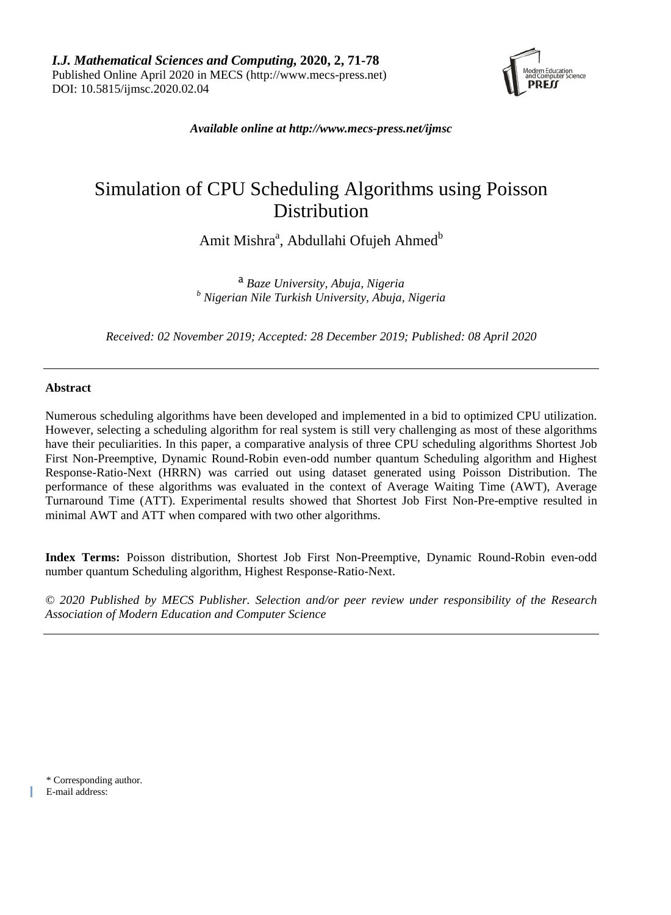

*Available online at [http://www.mecs-press.net/ijmsc](http://www.mecs-press.net/ijwmt)*

# Simulation of CPU Scheduling Algorithms using Poisson Distribution

Amit Mishra<sup>a</sup>, Abdullahi Ofujeh Ahmed<sup>b</sup>

<sup>a</sup> *Baze University, Abuja, Nigeria <sup>b</sup> Nigerian Nile Turkish University, Abuja, Nigeria*

*Received: 02 November 2019; Accepted: 28 December 2019; Published: 08 April 2020*

# **Abstract**

Numerous scheduling algorithms have been developed and implemented in a bid to optimized CPU utilization. However, selecting a scheduling algorithm for real system is still very challenging as most of these algorithms have their peculiarities. In this paper, a comparative analysis of three CPU scheduling algorithms Shortest Job First Non-Preemptive, Dynamic Round-Robin even-odd number quantum Scheduling algorithm and Highest Response-Ratio-Next (HRRN) was carried out using dataset generated using Poisson Distribution. The performance of these algorithms was evaluated in the context of Average Waiting Time (AWT), Average Turnaround Time (ATT). Experimental results showed that Shortest Job First Non-Pre-emptive resulted in minimal AWT and ATT when compared with two other algorithms.

**Index Terms:** Poisson distribution, Shortest Job First Non-Preemptive, Dynamic Round-Robin even-odd number quantum Scheduling algorithm, Highest Response-Ratio-Next.

*© 2020 Published by MECS Publisher. Selection and/or peer review under responsibility of the Research Association of Modern Education and Computer Science*

\* Corresponding author. E-mail address: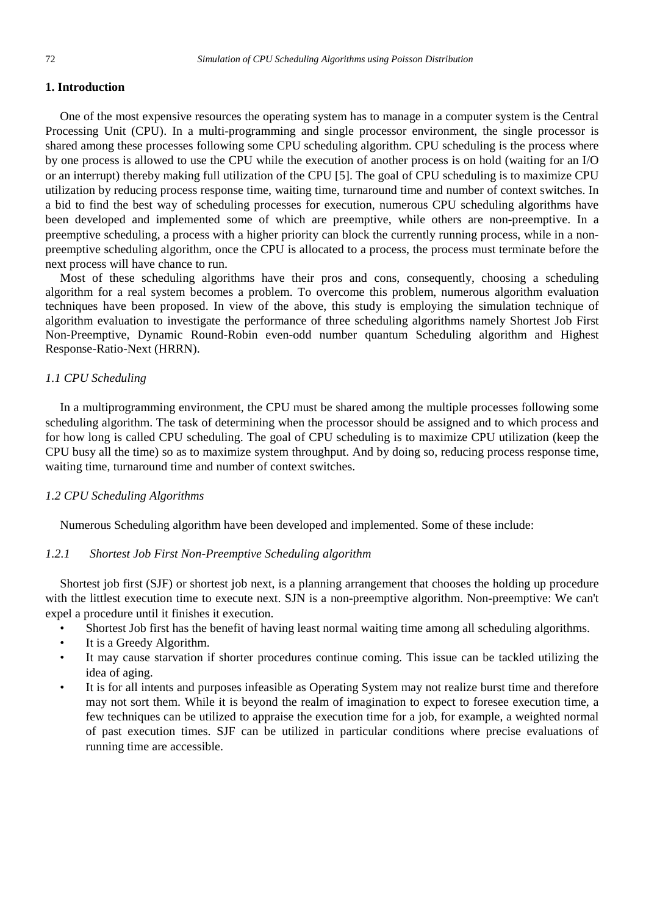## **1. Introduction**

One of the most expensive resources the operating system has to manage in a computer system is the Central Processing Unit (CPU). In a multi-programming and single processor environment, the single processor is shared among these processes following some CPU scheduling algorithm. CPU scheduling is the process where by one process is allowed to use the CPU while the execution of another process is on hold (waiting for an I/O or an interrupt) thereby making full utilization of the CPU [5]. The goal of CPU scheduling is to maximize CPU utilization by reducing process response time, waiting time, turnaround time and number of context switches. In a bid to find the best way of scheduling processes for execution, numerous CPU scheduling algorithms have been developed and implemented some of which are preemptive, while others are non-preemptive. In a preemptive scheduling, a process with a higher priority can block the currently running process, while in a nonpreemptive scheduling algorithm, once the CPU is allocated to a process, the process must terminate before the next process will have chance to run.

Most of these scheduling algorithms have their pros and cons, consequently, choosing a scheduling algorithm for a real system becomes a problem. To overcome this problem, numerous algorithm evaluation techniques have been proposed. In view of the above, this study is employing the simulation technique of algorithm evaluation to investigate the performance of three scheduling algorithms namely Shortest Job First Non-Preemptive, Dynamic Round-Robin even-odd number quantum Scheduling algorithm and Highest Response-Ratio-Next (HRRN).

## *1.1 CPU Scheduling*

In a multiprogramming environment, the CPU must be shared among the multiple processes following some scheduling algorithm. The task of determining when the processor should be assigned and to which process and for how long is called CPU scheduling. The goal of CPU scheduling is to maximize CPU utilization (keep the CPU busy all the time) so as to maximize system throughput. And by doing so, reducing process response time, waiting time, turnaround time and number of context switches.

## *1.2 CPU Scheduling Algorithms*

Numerous Scheduling algorithm have been developed and implemented. Some of these include:

## *1.2.1 Shortest Job First Non-Preemptive Scheduling algorithm*

Shortest job first (SJF) or shortest job next, is a planning arrangement that chooses the holding up procedure with the littlest execution time to execute next. SJN is a non-preemptive algorithm. Non-preemptive: We can't expel a procedure until it finishes it execution.

- Shortest Job first has the benefit of having least normal waiting time among all scheduling algorithms.
- It is a Greedy Algorithm.
- It may cause starvation if shorter procedures continue coming. This issue can be tackled utilizing the idea of aging.
- It is for all intents and purposes infeasible as Operating System may not realize burst time and therefore may not sort them. While it is beyond the realm of imagination to expect to foresee execution time, a few techniques can be utilized to appraise the execution time for a job, for example, a weighted normal of past execution times. SJF can be utilized in particular conditions where precise evaluations of running time are accessible.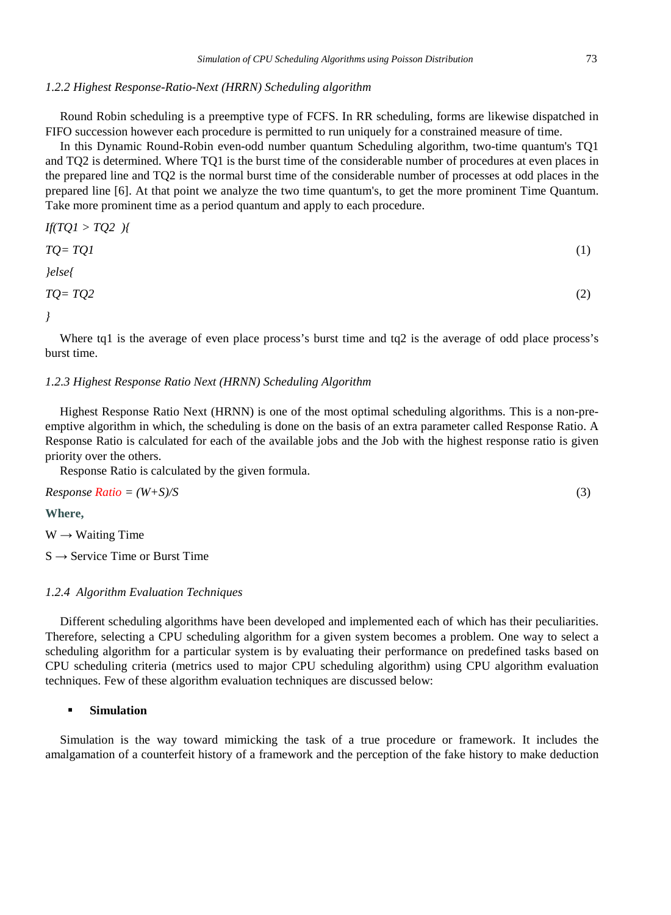#### *1.2.2 Highest Response-Ratio-Next (HRRN) Scheduling algorithm*

Round Robin scheduling is a preemptive type of FCFS. In RR scheduling, forms are likewise dispatched in FIFO succession however each procedure is permitted to run uniquely for a constrained measure of time.

In this Dynamic Round-Robin even-odd number quantum Scheduling algorithm, two-time quantum's TQ1 and TQ2 is determined. Where TQ1 is the burst time of the considerable number of procedures at even places in the prepared line and TQ2 is the normal burst time of the considerable number of processes at odd places in the prepared line [6]. At that point we analyze the two time quantum's, to get the more prominent Time Quantum. Take more prominent time as a period quantum and apply to each procedure.

$$
If(TQ1 > TQ2) { \atop \qquad} \{TQ = TQ1 \atop} \tag{1}
$$
\n
$$
let \atop TQ = TQ2 \atop} \tag{2}
$$

*}*

Where tq1 is the average of even place process's burst time and tq2 is the average of odd place process's burst time.

## *1.2.3 Highest Response Ratio Next (HRNN) Scheduling Algorithm*

Highest Response Ratio Next (HRNN) is one of the most optimal scheduling algorithms. This is a non-preemptive algorithm in which, the scheduling is done on the basis of an extra parameter called Response Ratio. A Response Ratio is calculated for each of the available jobs and the Job with the highest response ratio is given priority over the others.

Response Ratio is calculated by the given formula.

 $Response Ratio = (W+S)/S$  (3)

**Where,**

 $W \rightarrow$  Waiting Time

 $S \rightarrow$  Service Time or Burst Time

## *1.2.4 Algorithm Evaluation Techniques*

Different scheduling algorithms have been developed and implemented each of which has their peculiarities. Therefore, selecting a CPU scheduling algorithm for a given system becomes a problem. One way to select a scheduling algorithm for a particular system is by evaluating their performance on predefined tasks based on CPU scheduling criteria (metrics used to major CPU scheduling algorithm) using CPU algorithm evaluation techniques. Few of these algorithm evaluation techniques are discussed below:

## **Simulation**

Simulation is the way toward mimicking the task of a true procedure or framework. It includes the amalgamation of a counterfeit history of a framework and the perception of the fake history to make deduction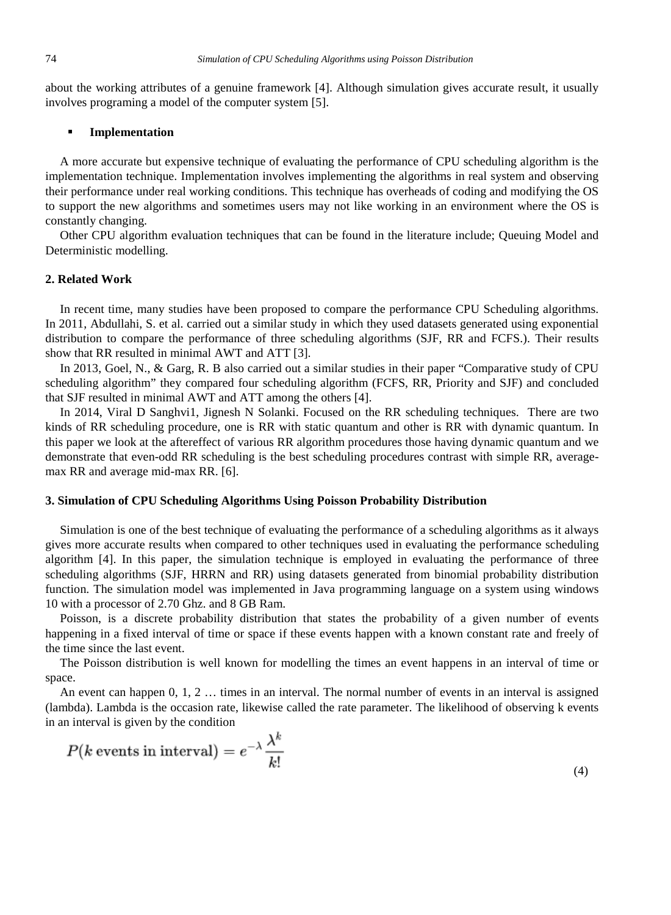about the working attributes of a genuine framework [4]. Although simulation gives accurate result, it usually involves programing a model of the computer system [5].

## **Implementation**

A more accurate but expensive technique of evaluating the performance of CPU scheduling algorithm is the implementation technique. Implementation involves implementing the algorithms in real system and observing their performance under real working conditions. This technique has overheads of coding and modifying the OS to support the new algorithms and sometimes users may not like working in an environment where the OS is constantly changing.

Other CPU algorithm evaluation techniques that can be found in the literature include; Queuing Model and Deterministic modelling.

## **2. Related Work**

In recent time, many studies have been proposed to compare the performance CPU Scheduling algorithms. In 2011, Abdullahi, S. et al. carried out a similar study in which they used datasets generated using exponential distribution to compare the performance of three scheduling algorithms (SJF, RR and FCFS.). Their results show that RR resulted in minimal AWT and ATT [3].

In 2013, Goel, N., & Garg, R. B also carried out a similar studies in their paper "Comparative study of CPU scheduling algorithm" they compared four scheduling algorithm (FCFS, RR, Priority and SJF) and concluded that SJF resulted in minimal AWT and ATT among the others [4].

In 2014, Viral D Sanghvi1, Jignesh N Solanki. Focused on the RR scheduling techniques. There are two kinds of RR scheduling procedure, one is RR with static quantum and other is RR with dynamic quantum. In this paper we look at the aftereffect of various RR algorithm procedures those having dynamic quantum and we demonstrate that even-odd RR scheduling is the best scheduling procedures contrast with simple RR, averagemax RR and average mid-max RR. [6].

## **3. Simulation of CPU Scheduling Algorithms Using Poisson Probability Distribution**

Simulation is one of the best technique of evaluating the performance of a scheduling algorithms as it always gives more accurate results when compared to other techniques used in evaluating the performance scheduling algorithm [4]. In this paper, the simulation technique is employed in evaluating the performance of three scheduling algorithms (SJF, HRRN and RR) using datasets generated from binomial probability distribution function. The simulation model was implemented in Java programming language on a system using windows 10 with a processor of 2.70 Ghz. and 8 GB Ram.

Poisson, is a discrete probability distribution that states the probability of a given number of events happening in a fixed interval of time or space if these events happen with a known constant rate and freely of the time since the last event.

The Poisson distribution is well known for modelling the times an event happens in an interval of time or space.

An event can happen 0, 1, 2 … times in an interval. The normal number of events in an interval is assigned (lambda). Lambda is the occasion rate, likewise called the rate parameter. The likelihood of observing k events in an interval is given by the condition

$$
P(k \text{ events in interval}) = e^{-\lambda} \frac{\lambda^k}{k!}
$$
\n<sup>(4)</sup>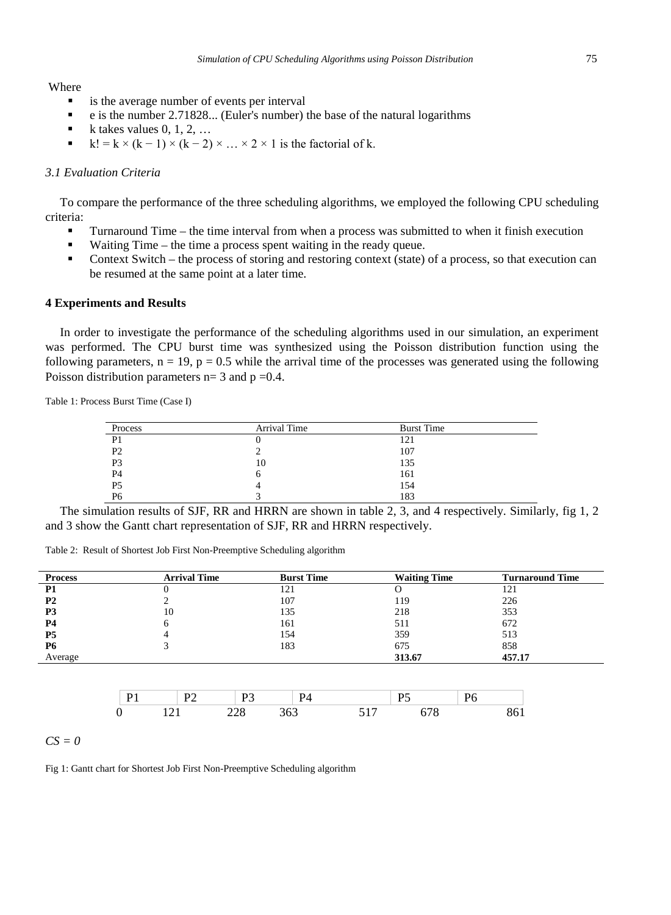Where

- is the average number of events per interval
- e is the number 2.71828... (Euler's number) the base of the natural logarithms
- k takes values 0, 1, 2, …
- $k! = k \times (k-1) \times (k-2) \times ... \times 2 \times 1$  is the factorial of k.

## *3.1 Evaluation Criteria*

To compare the performance of the three scheduling algorithms, we employed the following CPU scheduling criteria:

- Turnaround Time the time interval from when a process was submitted to when it finish execution
- Waiting Time the time a process spent waiting in the ready queue.
- Context Switch the process of storing and restoring context (state) of a process, so that execution can be resumed at the same point at a later time.

#### **4 Experiments and Results**

In order to investigate the performance of the scheduling algorithms used in our simulation, an experiment was performed. The CPU burst time was synthesized using the Poisson distribution function using the following parameters,  $n = 19$ ,  $p = 0.5$  while the arrival time of the processes was generated using the following Poisson distribution parameters  $n=3$  and  $p=0.4$ .

Table 1: Process Burst Time (Case I)

| Process        | Arrival Time | <b>Burst Time</b> |
|----------------|--------------|-------------------|
| P1             |              | 121               |
| P <sub>2</sub> |              | 107               |
| P <sub>3</sub> | 10           | 135               |
| P <sub>4</sub> | O            | 161               |
| P <sub>5</sub> |              | 154               |
| P6             |              | 183               |

The simulation results of SJF, RR and HRRN are shown in table 2, 3, and 4 respectively. Similarly, fig 1, 2 and 3 show the Gantt chart representation of SJF, RR and HRRN respectively.

Table 2: Result of Shortest Job First Non-Preemptive Scheduling algorithm

| <b>Process</b> | <b>Arrival Time</b> | <b>Burst Time</b> | <b>Waiting Time</b> | <b>Turnaround Time</b> |
|----------------|---------------------|-------------------|---------------------|------------------------|
| <b>P1</b>      | v                   | 121               |                     | 121                    |
| <b>P2</b>      |                     | 107               | 119                 | 226                    |
| P3             | 10                  | 135               | 218                 | 353                    |
| <b>P4</b>      | 6                   | 161               | 511                 | 672                    |
| <b>P5</b>      | 4                   | 154               | 359                 | 513                    |
| <b>P6</b>      | 3                   | 183               | 675                 | 858                    |
| Average        |                     |                   | 313.67              | 457.17                 |
|                |                     |                   |                     |                        |
|                |                     |                   |                     |                        |

|  | . .   | . . |  |  |
|--|-------|-----|--|--|
|  | _____ |     |  |  |

*CS = 0*

Fig 1: Gantt chart for Shortest Job First Non-Preemptive Scheduling algorithm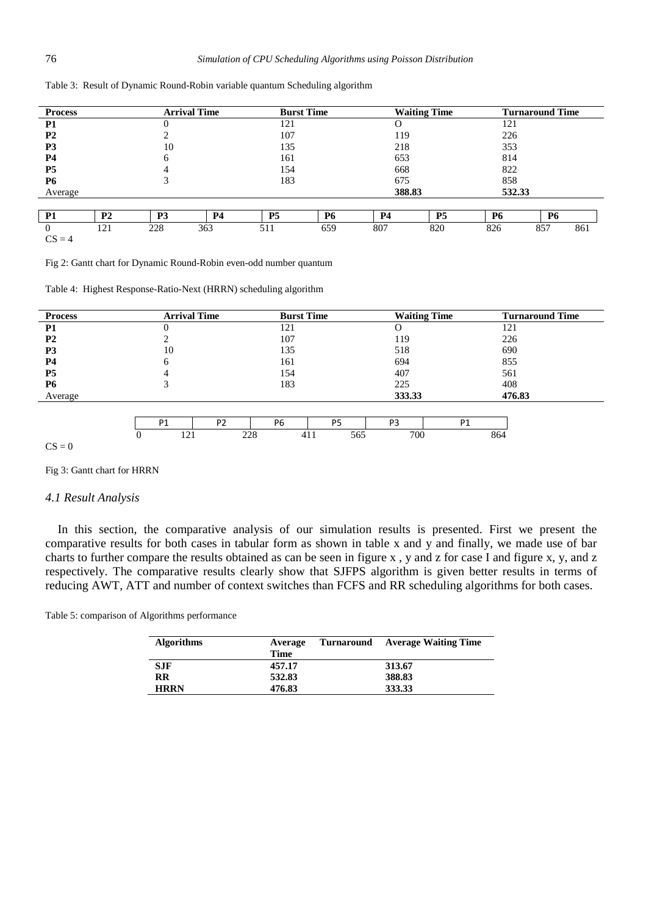| <b>Process</b> |           | <b>Arrival Time</b> |    | <b>Burst Time</b> |           | <b>Waiting Time</b> |           |           | <b>Turnaround Time</b> |
|----------------|-----------|---------------------|----|-------------------|-----------|---------------------|-----------|-----------|------------------------|
| P1             |           |                     |    | 121               |           |                     |           | 121       |                        |
| <b>P2</b>      |           |                     |    | 107               |           | 119                 |           | 226       |                        |
| P3             |           | 10                  |    | 135               |           | 218                 |           | 353       |                        |
| <b>P4</b>      |           |                     |    | 161               |           | 653                 |           | 814       |                        |
| P <sub>5</sub> |           | 4                   |    | 154               |           | 668                 |           | 822       |                        |
| <b>P6</b>      |           |                     |    | 183               |           | 675                 |           | 858       |                        |
| Average        |           |                     |    |                   |           | 388.83              |           | 532.33    |                        |
|                |           |                     |    |                   |           |                     |           |           |                        |
| P <sub>1</sub> | <b>P2</b> | P3                  | P4 | <b>P5</b>         | <b>P6</b> | <b>P4</b>           | <b>P5</b> | <b>P6</b> | <b>P6</b>              |

Table 3: Result of Dynamic Round-Robin variable quantum Scheduling algorithm

0 121 228 363 511 659 807 820 826 857 861  $CS = 4$ 

Fig 2: Gantt chart for Dynamic Round-Robin even-odd number quantum

Table 4: Highest Response-Ratio-Next (HRRN) scheduling algorithm

| <b>Process</b> | <b>Arrival Time</b>              | <b>Burst Time</b>                | <b>Waiting Time</b>              | <b>Turnaround Time</b> |
|----------------|----------------------------------|----------------------------------|----------------------------------|------------------------|
| <b>P1</b>      | v                                | 121                              | 0                                | 121                    |
| <b>P2</b>      |                                  | 107                              | 119                              | 226                    |
| <b>P3</b>      | 10                               | 135                              | 518                              | 690                    |
| <b>P4</b>      | 6                                | 161                              | 694                              | 855                    |
| <b>P5</b>      | 4                                | 154                              | 407                              | 561                    |
| <b>P6</b>      | 3                                | 183                              | 225                              | 408                    |
| Average        |                                  |                                  | 333.33                           | 476.83                 |
|                |                                  |                                  |                                  |                        |
|                | P <sub>2</sub><br>P <sub>1</sub> | P <sub>6</sub><br>P <sub>5</sub> | P <sub>1</sub><br>P <sub>3</sub> |                        |
|                | 121<br>0                         | 228<br>411<br>565                | 700                              | 864                    |
| $CS = 0$       |                                  |                                  |                                  |                        |

#### Fig 3: Gantt chart for HRRN

#### *4.1 Result Analysis*

In this section, the comparative analysis of our simulation results is presented. First we present the comparative results for both cases in tabular form as shown in table x and y and finally, we made use of bar charts to further compare the results obtained as can be seen in figure x, y and z for case I and figure x, y, and z respectively. The comparative results clearly show that SJFPS algorithm is given better results in terms of reducing AWT, ATT and number of context switches than FCFS and RR scheduling algorithms for both cases.

Table 5: comparison of Algorithms performance

| <b>Algorithms</b> | Average<br>Time | Turnaround | <b>Average Waiting Time</b> |
|-------------------|-----------------|------------|-----------------------------|
| <b>SJF</b>        | 457.17          |            | 313.67                      |
| RR                | 532.83          |            | 388.83                      |
| <b>HRRN</b>       | 476.83          |            | 333.33                      |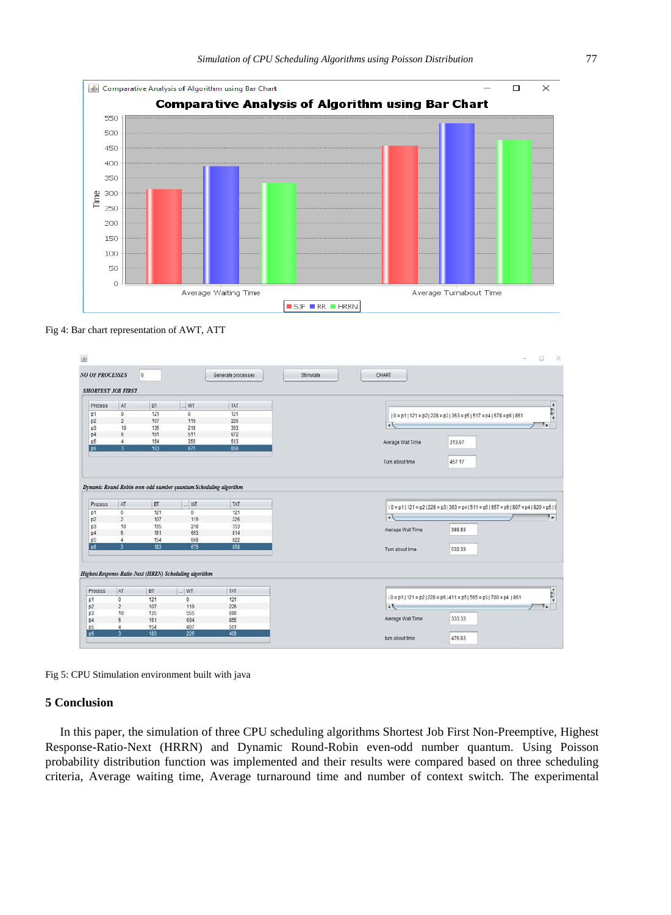

Fig 4: Bar chart representation of AWT, ATT

| <b>NO OF PROCESSES</b>                                                                                          |                           | $_{\rm 6}$       |                                                         | Generate processes | CHART<br>Stimulate                                                                                                          |
|-----------------------------------------------------------------------------------------------------------------|---------------------------|------------------|---------------------------------------------------------|--------------------|-----------------------------------------------------------------------------------------------------------------------------|
|                                                                                                                 | <b>SHORTEST JOB FIRST</b> |                  |                                                         |                    |                                                                                                                             |
| Process                                                                                                         | AT                        | BT               | $\sim$ WT                                               | TAT                |                                                                                                                             |
| p1                                                                                                              | $\pmb{0}$                 | 121              | $\theta$                                                | 121                | $[0 = p1   121 = p2   228 = p3   363 = p5   517 = p4   678 = p6   861$                                                      |
| p2                                                                                                              | $\overline{2}$            | 107              | 119                                                     | 226                |                                                                                                                             |
| v3                                                                                                              | 10                        | 135              | 218                                                     | 353                | l۰<br>72                                                                                                                    |
| p4                                                                                                              | $\overline{6}$            | 161              | 511                                                     | 672                |                                                                                                                             |
| p5                                                                                                              | $\ddot{a}$                | 154              | 359                                                     | 513                | 313.67<br>Average Wait Time                                                                                                 |
| p6                                                                                                              | ٦                         | 183              | 675                                                     | 858                |                                                                                                                             |
|                                                                                                                 |                           |                  |                                                         |                    |                                                                                                                             |
|                                                                                                                 |                           |                  |                                                         |                    | 457.17<br>Turn about time                                                                                                   |
|                                                                                                                 |                           |                  |                                                         |                    |                                                                                                                             |
|                                                                                                                 |                           |                  |                                                         |                    |                                                                                                                             |
|                                                                                                                 | AT<br>0<br>$\overline{c}$ | BT<br>121<br>107 | $-WT$<br>0<br>119                                       | TAT<br>121<br>226  | $0 = p1$   121 = p2   228 = p3   363 = p4   511 = p5   657 = p6   807 = p4   820 = p5   8<br>$\overline{\phantom{a}}$<br>9, |
|                                                                                                                 | 10                        | 135              | 218                                                     | 353                |                                                                                                                             |
|                                                                                                                 | $\ddot{\mathbf{6}}$       | 161              | 653                                                     | 814                | Average Wait Time<br>388.83                                                                                                 |
|                                                                                                                 | 4                         | 154              | 668                                                     | 822                |                                                                                                                             |
| Dynamic Round-Robin even-odd number quantum Scheduling algorithm<br>Process<br>p1<br>p2<br>p3<br>p4<br>p5<br>pô | $\overline{\mathbf{a}}$   | 183              | 675                                                     | 858                | Turn about time<br>532.33                                                                                                   |
|                                                                                                                 |                           |                  |                                                         |                    |                                                                                                                             |
|                                                                                                                 |                           |                  |                                                         |                    |                                                                                                                             |
|                                                                                                                 |                           |                  | Highest Response-Ratio-Next (HRRN) Scheduling algorithm |                    |                                                                                                                             |
| Process                                                                                                         | AT                        | BT               |                                                         | TAT                |                                                                                                                             |
|                                                                                                                 |                           |                  | $W$ T                                                   |                    | $ 0 = p1 121 = p2 228 = p6 411 = p5 565 = p3 700 = p4 861$                                                                  |
|                                                                                                                 | $\mathbb{Q}$              | 121              | $\circ$                                                 | 121                |                                                                                                                             |
|                                                                                                                 | $\overline{\mathbf{c}}$   | 107              | 119                                                     | 226                | 4A                                                                                                                          |
|                                                                                                                 | 10                        | 135              | 555                                                     | 690                | Average Wait Time<br>333.33                                                                                                 |
| p1<br>p2<br>p3<br>p4<br>p <sub>5</sub>                                                                          | 6<br>4                    | 161<br>154       | 694<br>407<br>225                                       | 855<br>561         | ٠.                                                                                                                          |

Fig 5: CPU Stimulation environment built with java

## **5 Conclusion**

In this paper, the simulation of three CPU scheduling algorithms Shortest Job First Non-Preemptive, Highest Response-Ratio-Next (HRRN) and Dynamic Round-Robin even-odd number quantum. Using Poisson probability distribution function was implemented and their results were compared based on three scheduling criteria, Average waiting time, Average turnaround time and number of context switch. The experimental